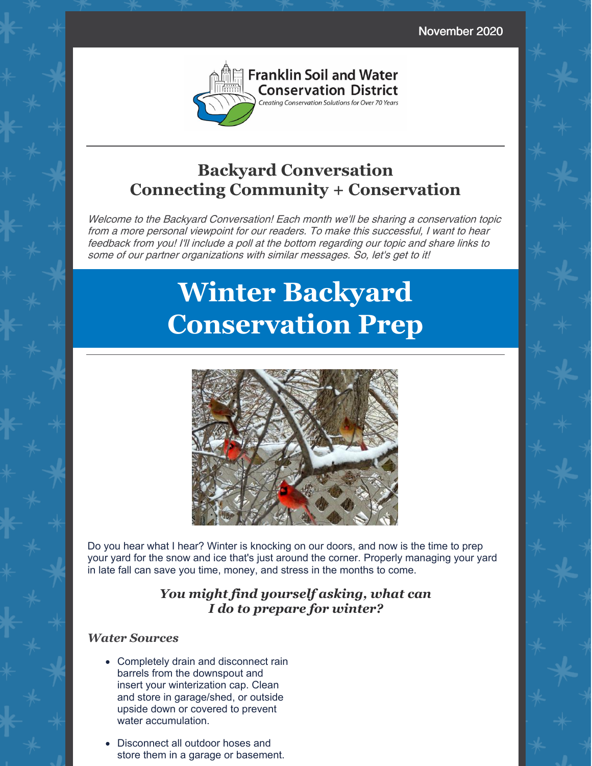November 2020



## **Backyard Conversation Connecting Community + Conservation**

Welcome to the Backyard Conversation! Each month we'll be sharing <sup>a</sup> conservation topic from <sup>a</sup> more personal viewpoint for our readers. To make this successful, I want to hear feedback from you! I'll include <sup>a</sup> poll at the bottom regarding our topic and share links to some of our partner organizations with similar messages. So, let's get to it!

# **Winter Backyard Conservation Prep**



Do you hear what I hear? Winter is knocking on our doors, and now is the time to prep your yard for the snow and ice that's just around the corner. Properly managing your yard in late fall can save you time, money, and stress in the months to come.

### *You might find yourself asking, what can I do to prepare for winter?*

#### *Water Sources*

- Completely drain and disconnect rain barrels from the downspout and insert your winterization cap. Clean and store in garage/shed, or outside upside down or covered to prevent water accumulation.
- Disconnect all outdoor hoses and store them in a garage or basement.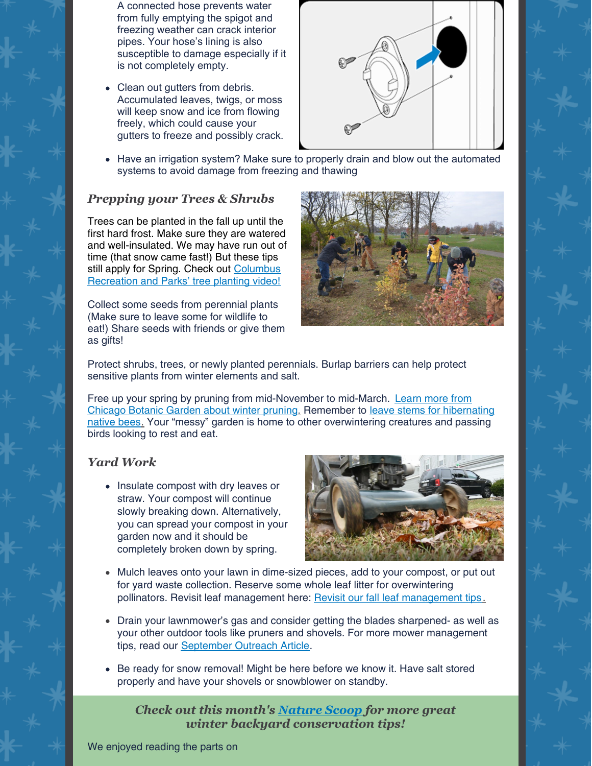A connected hose prevents water from fully emptying the spigot and freezing weather can crack interior pipes. Your hose's lining is also susceptible to damage especially if it is not completely empty.

• Clean out gutters from debris. Accumulated leaves, twigs, or moss will keep snow and ice from flowing freely, which could cause your gutters to freeze and possibly crack.



Have an irrigation system? Make sure to properly drain and blow out the automated systems to avoid damage from freezing and thawing

#### *Prepping your Trees & Shrubs*

Trees can be planted in the fall up until the first hard frost. Make sure they are watered and well-insulated. We may have run out of time (that snow came fast!) But these tips still apply for Spring. Check out Columbus [Recreation](http://r20.rs6.net/tn.jsp?f=001y0Kb0QZxnXJ-TL89oz9F5kYwIHif4D_Q8Yxrpm0Nh99eUgOLGcGH9VR_oL8rHyMuaPcMTT3fwP8zfih2AXZhj9j74eSL_qb7W-HoFPM9pIINnegouxBdm1J260lad9pm0IZHpvuA44OwTeEOOa3IyZfBhrzmji1UUcL1s9EC6gxG4K8RLna_NMCvdJPJ_aAMQr5uBIVbKkY=&c=GWV3eRonQxFIpRkh-6Ko_caV9bU4OYl0tni5q0QtJFeNM9aLWr6uew==&ch=Kh6QboiImMe_Gfwn9xo0Cn1BRtv1WsndSWuDe8FrQezThV3jtpvZ5Q==) and Parks' tree planting video!

Collect some seeds from perennial plants (Make sure to leave some for wildlife to eat!) Share seeds with friends or give them as gifts!



Protect shrubs, trees, or newly planted perennials. Burlap barriers can help protect sensitive plants from winter elements and salt.

Free up your spring by pruning from [mid-November](http://r20.rs6.net/tn.jsp?f=001y0Kb0QZxnXJ-TL89oz9F5kYwIHif4D_Q8Yxrpm0Nh99eUgOLGcGH9VR_oL8rHyMuQmqlLBL3AYIqYvARtD2O1IltsQjHb2_1EQUtac-3sHgQ0DyEJsQp5BAWtA2mvNRApzijszIEDVlMvsSn4JFOrLJoNeNmdKxn1ktoUFrxqDqmErHe_qLM6VCX9Zsmy6_9&c=GWV3eRonQxFIpRkh-6Ko_caV9bU4OYl0tni5q0QtJFeNM9aLWr6uew==&ch=Kh6QboiImMe_Gfwn9xo0Cn1BRtv1WsndSWuDe8FrQezThV3jtpvZ5Q==) to mid-March. Learn more from Chicago Botanic Garden about winter prunin[g.](http://r20.rs6.net/tn.jsp?f=001y0Kb0QZxnXJ-TL89oz9F5kYwIHif4D_Q8Yxrpm0Nh99eUgOLGcGH9VR_oL8rHyMuQmqlLBL3AYIqYvARtD2O1IltsQjHb2_1EQUtac-3sHgQ0DyEJsQp5BAWtA2mvNRApzijszIEDVlMvsSn4JFOrLJoNeNmdKxn1ktoUFrxqDqmErHe_qLM6VCX9Zsmy6_9&c=GWV3eRonQxFIpRkh-6Ko_caV9bU4OYl0tni5q0QtJFeNM9aLWr6uew==&ch=Kh6QboiImMe_Gfwn9xo0Cn1BRtv1WsndSWuDe8FrQezThV3jtpvZ5Q==) Remember to leave stems for hibernating native bees[.](http://r20.rs6.net/tn.jsp?f=001y0Kb0QZxnXJ-TL89oz9F5kYwIHif4D_Q8Yxrpm0Nh99eUgOLGcGH9VR_oL8rHyMuTMaHTk50IR4FMaefCmjo3LvEaJ_kleQw_zV_Px_Sb7u0hrO0WSTU92YBSeI5n1Mf6QiHE4sQY4hA4NY_6_COQsHbcNUsOEIZWeHZcyc5Wt6NiOF-L1RktYm6DNLXD_dOLat0XKn9o3NLmTYR-BKEAg==&c=GWV3eRonQxFIpRkh-6Ko_caV9bU4OYl0tni5q0QtJFeNM9aLWr6uew==&ch=Kh6QboiImMe_Gfwn9xo0Cn1BRtv1WsndSWuDe8FrQezThV3jtpvZ5Q==) Your "messy" garden is home to other [overwintering](http://r20.rs6.net/tn.jsp?f=001y0Kb0QZxnXJ-TL89oz9F5kYwIHif4D_Q8Yxrpm0Nh99eUgOLGcGH9VR_oL8rHyMuTMaHTk50IR4FMaefCmjo3LvEaJ_kleQw_zV_Px_Sb7u0hrO0WSTU92YBSeI5n1Mf6QiHE4sQY4hA4NY_6_COQsHbcNUsOEIZWeHZcyc5Wt6NiOF-L1RktYm6DNLXD_dOLat0XKn9o3NLmTYR-BKEAg==&c=GWV3eRonQxFIpRkh-6Ko_caV9bU4OYl0tni5q0QtJFeNM9aLWr6uew==&ch=Kh6QboiImMe_Gfwn9xo0Cn1BRtv1WsndSWuDe8FrQezThV3jtpvZ5Q==) creatures and passing birds looking to rest and eat.

#### *Yard Work*

• Insulate compost with dry leaves or straw. Your compost will continue slowly breaking down. Alternatively, you can spread your compost in your garden now and it should be completely broken down by spring.



- Mulch leaves onto your lawn in dime-sized pieces, add to your compost, or put out for yard waste collection. Reserve some whole leaf litter for overwintering pollinators. Revisit leaf management here: Revisit our fall leaf [management](http://r20.rs6.net/tn.jsp?f=001y0Kb0QZxnXJ-TL89oz9F5kYwIHif4D_Q8Yxrpm0Nh99eUgOLGcGH9VR_oL8rHyMuUmf40bhYiYQK7Q7cvNQCM-6nRigH4ZBcz0J5kQDSxiLnPMiwI4-czeVev9ZHAym-zcdHISFCgAgXyX84RVqxTwTbxcm1ysRKFp-TrsfHfr9kFfOZatGUEaNOlaEhUbsfvWQe7H9dE8Bv6YyWg1u9s45dCqJd4LYHTciVhWjooShS45l499fTng==&c=&ch=) tips[.](http://r20.rs6.net/tn.jsp?f=001y0Kb0QZxnXJ-TL89oz9F5kYwIHif4D_Q8Yxrpm0Nh99eUgOLGcGH9VR_oL8rHyMuUmf40bhYiYQK7Q7cvNQCM-6nRigH4ZBcz0J5kQDSxiLnPMiwI4-czeVev9ZHAym-zcdHISFCgAgXyX84RVqxTwTbxcm1ysRKFp-TrsfHfr9kFfOZatGUEaNOlaEhUbsfvWQe7H9dE8Bv6YyWg1u9s45dCqJd4LYHTciVhWjooShS45l499fTng==&c=&ch=)
- Drain your lawnmower's gas and consider getting the blades sharpened- as well as your other outdoor tools like pruners and shovels. For more mower management tips, read our [September](http://r20.rs6.net/tn.jsp?f=001y0Kb0QZxnXJ-TL89oz9F5kYwIHif4D_Q8Yxrpm0Nh99eUgOLGcGH9VR_oL8rHyMuUmf40bhYiYQK7Q7cvNQCM-6nRigH4ZBcz0J5kQDSxiLnPMiwI4-czeVev9ZHAym-zcdHISFCgAgXyX84RVqxTwTbxcm1ysRKFp-TrsfHfr9kFfOZatGUEaNOlaEhUbsfvWQe7H9dE8Bv6YyWg1u9s45dCqJd4LYHTciVhWjooShS45l499fTng==&c=&ch=) Outreach Article.
- Be ready for snow removal! Might be here before we know it. Have salt stored properly and have your shovels or snowblower on standby.

*Check out this month's [Nature](https://mailchi.mp/2e1cc8d6aaf5/nature-scoop-december-2020?e=6f5b4ab281) Scoop for more great winter backyard conservation tips!*

We enjoyed reading the parts on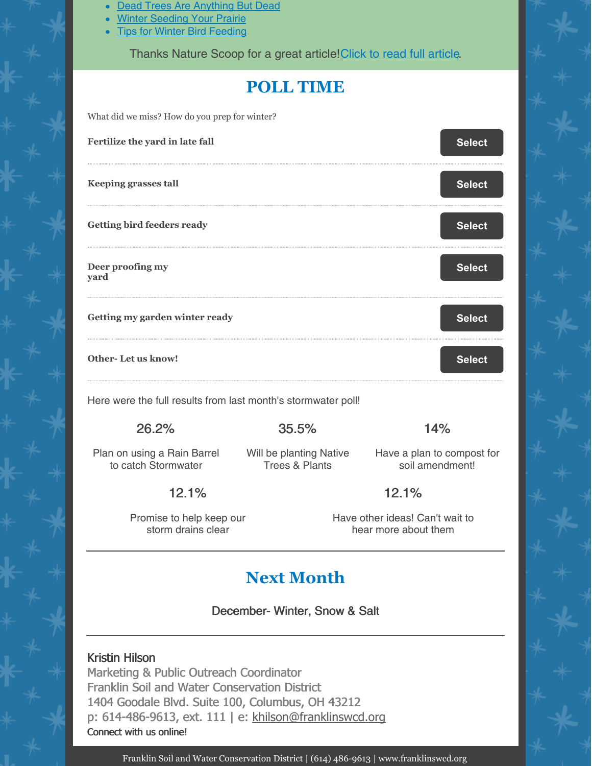- Dead Trees Are [Anything](https://blog.nwf.org/2014/07/dead-logs-are-anything-but-dead/) But Dead  $\bullet$
- Winter [Seeding](https://www.accentnatural.com/winter-seeding-your-prairie/) Your Prairie
- Tips for Winter Bird [Feeding](https://blog.nwf.org/2015/01/tips-for-winter-bird-feeding/)

Thanks Nature Scoop for a great [article](https://mailchi.mp/2e1cc8d6aaf5/nature-scoop-december-2020?e=6f5b4ab281)! Click to read full article.

## **POLL TIME**

What did we miss? How do you prep for winter?

| Fertilize the yard in late fall                               |       | <b>Select</b> |
|---------------------------------------------------------------|-------|---------------|
| <b>Keeping grasses tall</b>                                   |       | <b>Select</b> |
| <b>Getting bird feeders ready</b>                             |       | <b>Select</b> |
| Deer proofing my<br>yard                                      |       | <b>Select</b> |
| Getting my garden winter ready                                |       | <b>Select</b> |
| <b>Other-Let us know!</b>                                     |       | <b>Select</b> |
| Here were the full results from last month's stormwater poll! |       |               |
| 26.2%                                                         | 35.5% | 14%           |

Plan on using a Rain Barrel to catch Stormwater

Will be planting Native Trees & Plants

Have a plan to compost for soil amendment!

## 12.1%

Promise to help keep our storm drains clear

Have other ideas! Can't wait to hear more about them

12.1%

# **Next Month**

December- Winter, Snow & Salt

#### Kristin Hilson

Marketing & Public Outreach Coordinator Franklin Soil and Water Conservation District 1404 Goodale Blvd. Suite 100, Columbus, OH 43212 p: 614-486-9613, ext. 111 | e: [khilson@franklinswcd.org](mailto:khilson@franklinswcd.org) Connect with us online!

Franklin Soil and Water Conservation District | (614) 486-9613 | www.franklinswcd.org